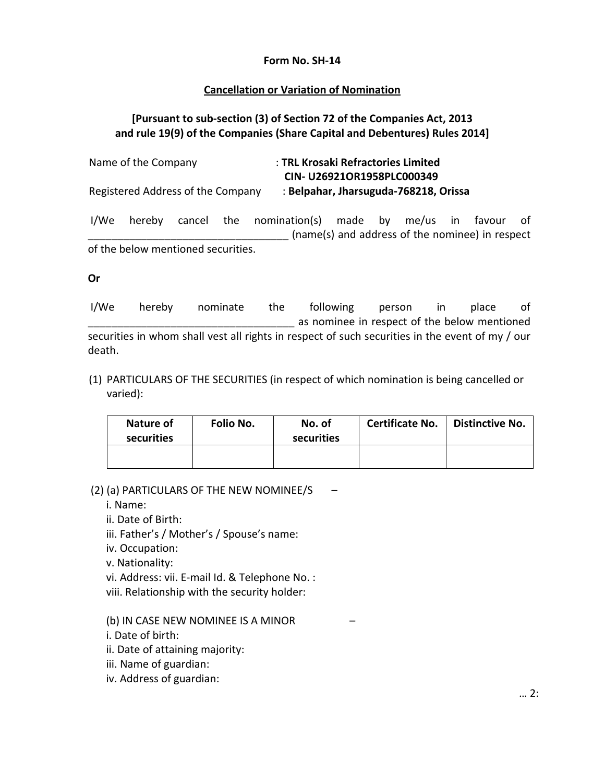## **Form No. SH‐14**

## **Cancellation or Variation of Nomination**

## **[Pursuant to sub‐section (3) of Section 72 of the Companies Act, 2013 and rule 19(9) of the Companies (Share Capital and Debentures) Rules 2014]**

Name of the Company : **TRL Krosaki Refractories Limited CIN‐ U26921OR1958PLC000349** Registered Address of the Company : **Belpahar, Jharsuguda‐768218, Orissa**

I/We hereby cancel the nomination(s) made by me/us in favour of (name(s) and address of the nominee) in respect of the below mentioned securities.

## **Or**

I/We hereby nominate the following person in place of as nominee in respect of the below mentioned securities in whom shall vest all rights in respect of such securities in the event of my / our death.

(1) PARTICULARS OF THE SECURITIES (in respect of which nomination is being cancelled or varied):

| Nature of<br>securities | Folio No. | No. of<br>securities | <b>Certificate No.</b> | <b>Distinctive No.</b> |
|-------------------------|-----------|----------------------|------------------------|------------------------|
|                         |           |                      |                        |                        |

(2) (a) PARTICULARS OF THE NEW NOMINEE/S –

i. Name:

ii. Date of Birth:

iii. Father's / Mother's / Spouse's name:

iv. Occupation:

v. Nationality:

vi. Address: vii. E‐mail Id. & Telephone No. :

viii. Relationship with the security holder:

(b) IN CASE NEW NOMINEE IS A MINOR –

i. Date of birth:

ii. Date of attaining majority:

iii. Name of guardian:

iv. Address of guardian: